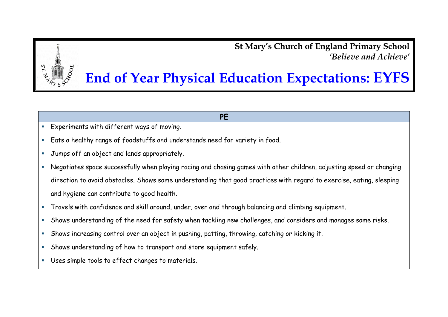**St Mary's Church of England Primary School** *'Believe and Achieve'*

## **End of Year Physical Education Expectations: EYFS**

## **PE**

- Experiments with different ways of moving.
- Eats a healthy range of foodstuffs and understands need for variety in food.
- **Jumps off an object and lands appropriately.**
- Negotiates space successfully when playing racing and chasing games with other children, adjusting speed or changing direction to avoid obstacles. Shows some understanding that good practices with regard to exercise, eating, sleeping and hygiene can contribute to good health.
- **Travels with confidence and skill around, under, over and through balancing and climbing equipment.**
- Shows understanding of the need for safety when tackling new challenges, and considers and manages some risks.
- Shows increasing control over an object in pushing, patting, throwing, catching or kicking it.
- Shows understanding of how to transport and store equipment safely.
- Uses simple tools to effect changes to materials.